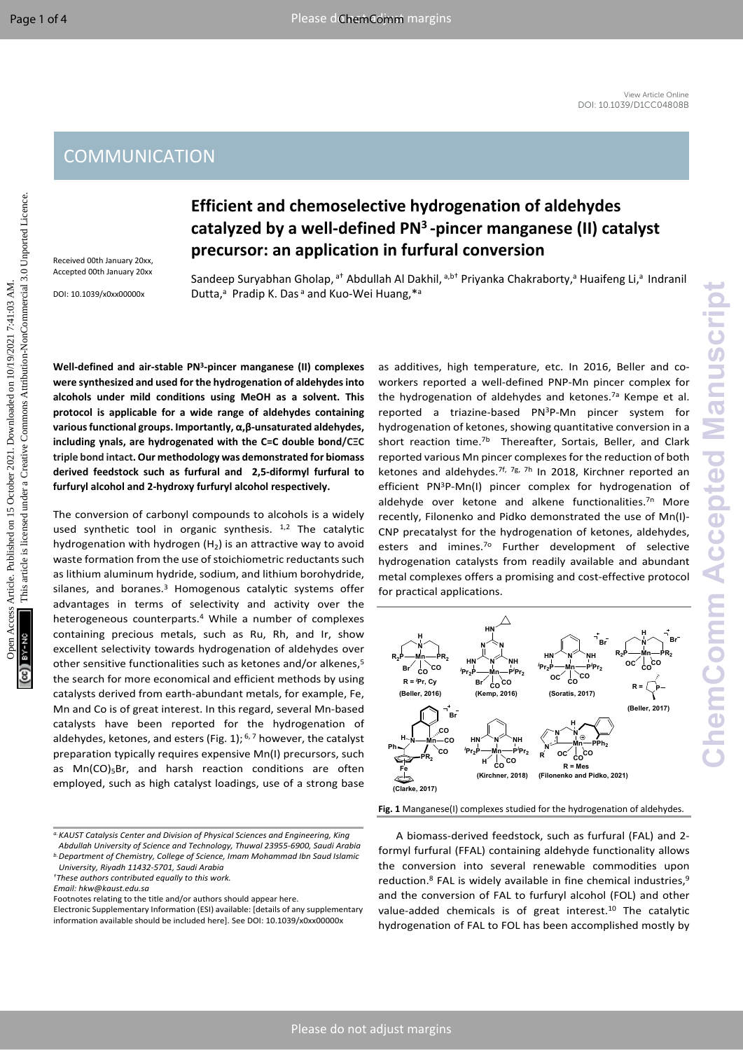## **COMMUNICATION**

Received 00th January 20xx, Accepted 00th January 20xx

DOI: 10.1039/x0xx00000x

# **Efficient and chemoselective hydrogenation of aldehydes catalyzed by a well-defined PN<sup>3</sup>-pincer manganese (II) catalyst precursor: an application in furfural conversion**

Sandeep Suryabhan Gholap, <sup>at</sup> Abdullah Al Dakhil, <sup>a,b†</sup> Priyanka Chakraborty, <sup>a</sup> Huaifeng Li, <sup>a</sup> Indranil Dutta,<sup>a</sup> Pradip K. Das<sup>a</sup> and Kuo-Wei Huang,\*a

**Well-defined and air-stable PN<sup>3</sup> -pincer manganese (II) complexes were synthesized and used for the hydrogenation of aldehydes into alcohols under mild conditions using MeOH as a solvent. This protocol is applicable for a wide range of aldehydes containing various functional groups. Importantly, α,β-unsaturated aldehydes, including ynals, are hydrogenated with the C=C double bond/CΞC triple bond intact. Our methodology was demonstrated for biomass derived feedstock such as furfural and 2,5-diformyl furfural to furfuryl alcohol and 2-hydroxy furfuryl alcohol respectively.**

The conversion of carbonyl compounds to alcohols is a widely used synthetic tool in organic synthesis.  $1,2$  The catalytic hydrogenation with hydrogen  $(H<sub>2</sub>)$  is an attractive way to avoid waste formation from the use of stoichiometric reductants such as lithium aluminum hydride, sodium, and lithium borohydride, silanes, and boranes.<sup>3</sup> Homogenous catalytic systems offer advantages in terms of selectivity and activity over the heterogeneous counterparts.<sup>4</sup> While a number of complexes containing precious metals, such as Ru, Rh, and Ir, show excellent selectivity towards hydrogenation of aldehydes over other sensitive functionalities such as ketones and/or alkenes,<sup>5</sup> the search for more economical and efficient methods by using catalysts derived from earth-abundant metals, for example, Fe, Mn and Co is of great interest. In this regard, several Mn-based catalysts have been reported for the hydrogenation of aldehydes, ketones, and esters (Fig. 1);  $6, 7$  however, the catalyst preparation typically requires expensive Mn(I) precursors, such as  $Mn(CO)_{5}Br$ , and harsh reaction conditions are often employed, such as high catalyst loadings, use of a strong base COMMUNICATION<br>
Efficient and chemoselective hydrogenation of aldehyles<br>
catalyzed by a well-defined PN<sup>3</sup>-pincer manganese (ii) catalyxt<br>
catalyzed by a well-defined PN<sup>3</sup>-pincer manganese (ii) catalyxt<br>  $\frac{1}{2}$ <br>  $\frac{1}{$ 

*b.Department of Chemistry, College of Science, Imam Mohammad Ibn Saud Islamic University, Riyadh 11432-5701, Saudi Arabia*

Footnotes relating to the title and/or authors should appear here.

as additives, high temperature, etc. In 2016, Beller and coworkers reported a well-defined PNP-Mn pincer complex for the hydrogenation of aldehydes and ketones.<sup>7a</sup> Kempe et al. reported a triazine-based PN<sup>3</sup>P-Mn pincer system for hydrogenation of ketones, showing quantitative conversion in a short reaction time.<sup>7b</sup> Thereafter, Sortais, Beller, and Clark reported various Mn pincer complexes for the reduction of both ketones and aldehydes.<sup>7f, 7g, 7h</sup> In 2018, Kirchner reported an efficient PN<sup>3</sup>P-Mn(I) pincer complex for hydrogenation of aldehyde over ketone and alkene functionalities.<sup>7n</sup> More recently, Filonenko and Pidko demonstrated the use of Mn(I)- CNP precatalyst for the hydrogenation of ketones, aldehydes, esters and imines.<sup>70</sup> Further development of selective hydrogenation catalysts from readily available and abundant metal complexes offers a promising and cost-effective protocol for practical applications.



**Fig. 1** Manganese(I) complexes studied for the hydrogenation of aldehydes.

A biomass-derived feedstock, such as furfural (FAL) and 2 formyl furfural (FFAL) containing aldehyde functionality allows the conversion into several renewable commodities upon reduction.<sup>8</sup> FAL is widely available in fine chemical industries,<sup>9</sup> and the conversion of FAL to furfuryl alcohol (FOL) and other value-added chemicals is of great interest.<sup>10</sup> The catalytic hydrogenation of FAL to FOL has been accomplished mostly by

*a.KAUST Catalysis Center and Division of Physical Sciences and Engineering, King Abdullah University of Science and Technology, Thuwal 23955-6900, Saudi Arabia*

*<sup>†</sup>These authors contributed equally to this work.*

*Email: hkw@kaust.edu.sa*

Electronic Supplementary Information (ESI) available: [details of any supplementary information available should be included here]. See DOI: 10.1039/x0xx00000x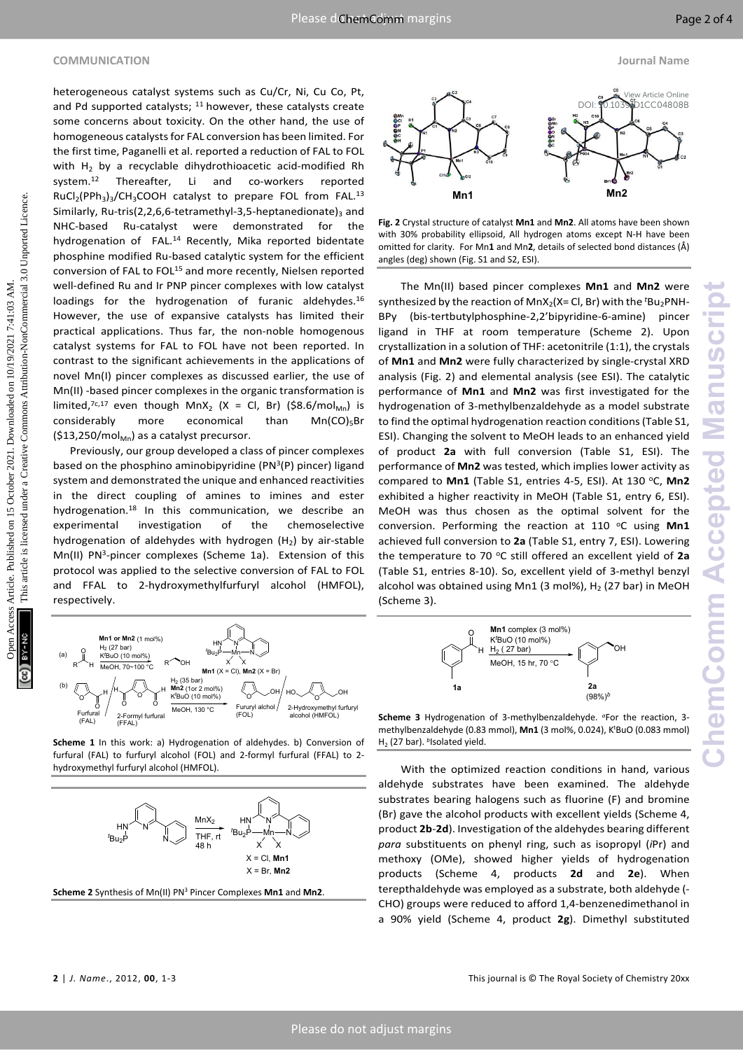### **COMMUNICATION Journal Name**

heterogeneous catalyst systems such as Cu/Cr, Ni, Cu Co, Pt, and Pd supported catalysts;  $11$  however, these catalysts create some concerns about toxicity. On the other hand, the use of homogeneous catalystsfor FAL conversion has been limited. For the first time, Paganelli et al. reported a reduction of FAL to FOL with  $H_2$  by a recyclable dihydrothioacetic acid-modified Rh system.<sup>12</sup> Thereafter, Li and co-workers reported  $RuCl<sub>2</sub>(PPh<sub>3</sub>)<sub>3</sub>/CH<sub>3</sub>COOH$  catalyst to prepare FOL from FAL.<sup>13</sup> Similarly, Ru-tris(2,2,6,6-tetramethyl-3,5-heptanedionate)<sub>3</sub> and NHC-based Ru-catalyst were demonstrated for the hydrogenation of FAL.<sup>14</sup> Recently, Mika reported bidentate phosphine modified Ru-based catalytic system for the efficient conversion of FAL to FOL<sup>15</sup> and more recently, Nielsen reported well-defined Ru and Ir PNP pincer complexes with low catalyst loadings for the hydrogenation of furanic aldehydes.<sup>16</sup> However, the use of expansive catalysts has limited their practical applications. Thus far, the non-noble homogenous catalyst systems for FAL to FOL have not been reported. In contrast to the significant achievements in the applications of novel Mn(I) pincer complexes as discussed earlier, the use of Mn(II) -based pincer complexes in the organic transformation is limited,<sup>7c,17</sup> even though MnX<sub>2</sub> (X = Cl, Br) (\$8.6/mol<sub>Mn</sub>) is considerably more economical than  $Mn(CO)5$ Br  $(513,250/mol<sub>MD</sub>)$  as a catalyst precursor. and the equation of the total particular interaction and the equation of the equation of the equation of the equation of the equation of the equation of the equation of the equation of the equation of the equation of the

Previously, our group developed a class of pincer complexes based on the phosphino aminobipyridine (PN<sup>3</sup>(P) pincer) ligand system and demonstrated the unique and enhanced reactivities in the direct coupling of amines to imines and ester hydrogenation.<sup>18</sup> In this communication, we describe an experimental investigation of the chemoselective hydrogenation of aldehydes with hydrogen  $(H<sub>2</sub>)$  by air-stable Mn(II) PN<sup>3</sup>-pincer complexes (Scheme 1a). Extension of this protocol was applied to the selective conversion of FAL to FOL and FFAL to 2-hydroxymethylfurfuryl alcohol (HMFOL), respectively.



**Scheme 1** In this work: a) Hydrogenation of aldehydes. b) Conversion of furfural (FAL) to furfuryl alcohol (FOL) and 2-formyl furfural (FFAL) to 2 hydroxymethyl furfuryl alcohol (HMFOL).



**Scheme 2** Synthesis of Mn(II) PN<sup>3</sup> Pincer Complexes **Mn1** and **Mn2**.



**Fig. 2** Crystal structure of catalyst **Mn1** and **Mn2**. All atoms have been shown with 30% probability ellipsoid, All hydrogen atoms except N-H have been omitted for clarity. For Mn**1** and Mn**2**, details of selected bond distances (Å) angles (deg) shown (Fig. S1 and S2, ESI).

The Mn(II) based pincer complexes **Mn1** and **Mn2** were synthesized by the reaction of MnX<sub>2</sub>(X= Cl, Br) with the <sup>t</sup>Bu<sub>2</sub>PNH-BPy (bis-tertbutylphosphine-2,2'bipyridine-6-amine) pincer ligand in THF at room temperature (Scheme 2). Upon crystallization in a solution of THF: acetonitrile (1:1), the crystals of **Mn1** and **Mn2** were fully characterized by single-crystal XRD analysis (Fig. 2) and elemental analysis (see ESI). The catalytic performance of **Mn1** and **Mn2** was first investigated for the hydrogenation of 3-methylbenzaldehyde as a model substrate to find the optimal hydrogenation reaction conditions(Table S1, ESI). Changing the solvent to MeOH leads to an enhanced yield of product **2a** with full conversion (Table S1, ESI). The performance of **Mn2** was tested, which implies lower activity as compared to Mn1 (Table S1, entries 4-5, ESI). At 130 °C, Mn2 exhibited a higher reactivity in MeOH (Table S1, entry 6, ESI). MeOH was thus chosen as the optimal solvent for the conversion. Performing the reaction at 110 °C using Mn1 achieved full conversion to **2a** (Table S1, entry 7, ESI). Lowering the temperature to 70 °C still offered an excellent yield of 2a (Table S1, entries 8-10). So, excellent yield of 3-methyl benzyl alcohol was obtained using Mn1 (3 mol%),  $H_2$  (27 bar) in MeOH (Scheme 3).



**Scheme 3** Hydrogenation of 3-methylbenzaldehyde. *<sup>a</sup>*For the reaction, 3 methylbenzaldehyde (0.83 mmol), **Mn1** (3 mol%, 0.024), K<sup>t</sup>BuO (0.083 mmol) H<sub>2</sub> (27 bar). bIsolated yield.

With the optimized reaction conditions in hand, various aldehyde substrates have been examined. The aldehyde substrates bearing halogens such as fluorine (F) and bromine (Br) gave the alcohol products with excellent yields (Scheme 4, product **2b**-**2d**). Investigation of the aldehydes bearing different *para* substituents on phenyl ring, such as isopropyl (*i*Pr) and methoxy (OMe), showed higher yields of hydrogenation products (Scheme 4, products **2d** and **2e**). When terepthaldehyde was employed as a substrate, both aldehyde (- CHO) groups were reduced to afford 1,4-benzenedimethanol in a 90% yield (Scheme 4, product **2g**). Dimethyl substituted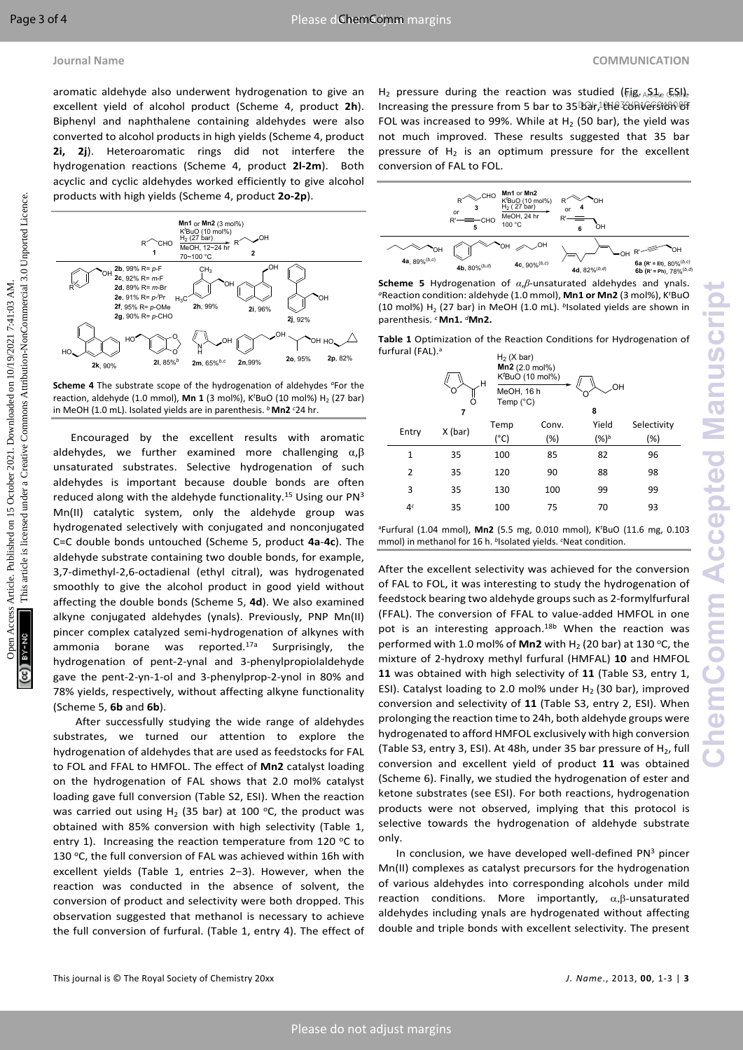aromatic aldehyde also underwent hydrogenation to give an excellent yield of alcohol product (Scheme 4, product **2h**). Biphenyl and naphthalene containing aldehydes were also converted to alcohol products in high yields (Scheme 4, product **2i, 2j**). Heteroaromatic rings did not interfere the hydrogenation reactions (Scheme 4, product **2l-2m**). Both acyclic and cyclic aldehydes worked efficiently to give alcohol products with high yields (Scheme 4, product **2o-2p**).



**Scheme 4** The substrate scope of the hydrogenation of aldehydes *a*For the reaction, aldehyde (1.0 mmol), Mn 1 (3 mol%), K<sup>t</sup>BuO (10 mol%) H<sub>2</sub> (27 bar) in MeOH (1.0 mL). Isolated yields are in parenthesis. *<sup>b</sup>***Mn2** *<sup>c</sup>*24 hr.

Encouraged by the excellent results with aromatic aldehydes, we further examined more challenging  $\alpha, \beta$ unsaturated substrates. Selective hydrogenation of such aldehydes is important because double bonds are often reduced along with the aldehyde functionality.<sup>15</sup> Using our  $PN<sup>3</sup>$ Mn(II) catalytic system, only the aldehyde group was hydrogenated selectively with conjugated and nonconjugated C=C double bonds untouched (Scheme 5, product **4a**-**4c**). The aldehyde substrate containing two double bonds, for example, 3,7-dimethyl-2,6-octadienal (ethyl citral), was hydrogenated smoothly to give the alcohol product in good yield without affecting the double bonds (Scheme 5, **4d**). We also examined alkyne conjugated aldehydes (ynals). Previously, PNP Mn(II) pincer complex catalyzed semi-hydrogenation of alkynes with ammonia borane was reported.<sup>17a</sup> Surprisingly, the hydrogenation of pent-2-ynal and 3-phenylpropiolaldehyde gave the pent-2-yn-1-ol and 3-phenylprop-2-ynol in 80% and 78% yields, respectively, without affecting alkyne functionality (Scheme 5, **6b** and **6b**). everte when a ancora product plane is a proposed on the set of the set of the set of the set of the set of the set of the set of the set of the set of the set of the set of the set of the set of the set of the set of the

After successfully studying the wide range of aldehydes substrates, we turned our attention to explore the hydrogenation of aldehydes that are used as feedstocks for FAL to FOL and FFAL to HMFOL. The effect of **Mn2** catalyst loading on the hydrogenation of FAL shows that 2.0 mol% catalyst loading gave full conversion (Table S2, ESI). When the reaction was carried out using  $H_2$  (35 bar) at 100 °C, the product was obtained with 85% conversion with high selectivity (Table 1, entry 1). Increasing the reaction temperature from 120  $\degree$ C to 130 °C, the full conversion of FAL was achieved within 16h with excellent yields (Table 1, entries 2−3). However, when the reaction was conducted in the absence of solvent, the conversion of product and selectivity were both dropped. This observation suggested that methanol is necessary to achieve the full conversion of furfural. (Table 1, entry 4). The effect of H<sub>2</sub> pressure during the reaction was studied ( $F_1$ ig,  $F_2$ ,  $F_3$ ,  $F_4$ ). Increasing the pressure from 5 bar to 35 bar, the conversion of FOL was increased to 99%. While at  $H_2$  (50 bar), the yield was not much improved. These results suggested that 35 bar pressure of  $H_2$  is an optimum pressure for the excellent conversion of FAL to FOL.







|                | н<br>7  | $H2$ (X bar)<br>$Mn2$ (2.0 mol%)<br>$KtBuO$ (10 mol%)<br>MeOH, 16 h<br>Temp $(^{\circ}C)$ |       | OН<br>8   |             |
|----------------|---------|-------------------------------------------------------------------------------------------|-------|-----------|-------------|
| Entry          | X (bar) | Temp                                                                                      | Conv. | Yield     | Selectivity |
|                |         | (°C)                                                                                      | (%)   | $(%)^{b}$ | $(\%)$      |
| $\mathbf{1}$   | 35      | 100                                                                                       | 85    | 82        | 96          |
| $\overline{2}$ | 35      | 120                                                                                       | 90    | 88        | 98          |
| 3              | 35      | 130                                                                                       | 100   | 99        | 99          |
| 4 <sup>c</sup> | 35      | 100                                                                                       | 75    | 70        | 93          |
|                |         |                                                                                           |       |           |             |

<sup>a</sup>Furfural (1.04 mmol), **Mn2** (5.5 mg, 0.010 mmol), K*<sup>t</sup>*BuO (11.6 mg, 0.103 mmol) in methanol for 16 h. *<sup>b</sup>* Isolated yields. *<sup>c</sup>*Neat condition.

After the excellent selectivity was achieved for the conversion of FAL to FOL, it was interesting to study the hydrogenation of feedstock bearing two aldehyde groups such as 2-formylfurfural (FFAL). The conversion of FFAL to value-added HMFOL in one pot is an interesting approach.<sup>18b</sup> When the reaction was performed with 1.0 mol% of **Mn2** with  $H_2$  (20 bar) at 130 °C, the mixture of 2-hydroxy methyl furfural (HMFAL) **10** and HMFOL **11** was obtained with high selectivity of **11** (Table S3, entry 1, ESI). Catalyst loading to 2.0 mol% under  $H<sub>2</sub>$  (30 bar), improved conversion and selectivity of **11** (Table S3, entry 2, ESI). When prolonging the reaction time to 24h, both aldehyde groups were hydrogenated to afford HMFOL exclusively with high conversion (Table S3, entry 3, ESI). At 48h, under 35 bar pressure of  $H_2$ , full conversion and excellent yield of product **11** was obtained (Scheme 6). Finally, we studied the hydrogenation of ester and ketone substrates (see ESI). For both reactions, hydrogenation products were not observed, implying that this protocol is selective towards the hydrogenation of aldehyde substrate only.

In conclusion, we have developed well-defined PN3 pincer Mn(II) complexes as catalyst precursors for the hydrogenation of various aldehydes into corresponding alcohols under mild reaction conditions. More importantly,  $\alpha, \beta$ -unsaturated aldehydes including ynals are hydrogenated without affecting double and triple bonds with excellent selectivity. The present